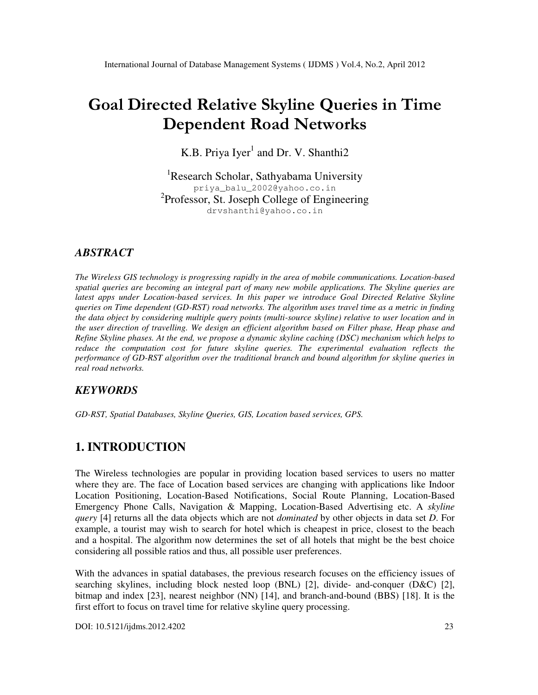# Goal Directed Relative Skyline Queries in Time Dependent Road Networks

K.B. Priya Iyer<sup>1</sup> and Dr. V. Shanthi2

<sup>1</sup>Research Scholar, Sathyabama University priya\_balu\_2002@yahoo.co.in <sup>2</sup>Professor, St. Joseph College of Engineering drvshanthi@yahoo.co.in

# *ABSTRACT*

*The Wireless GIS technology is progressing rapidly in the area of mobile communications. Location-based spatial queries are becoming an integral part of many new mobile applications. The Skyline queries are latest apps under Location-based services. In this paper we introduce Goal Directed Relative Skyline queries on Time dependent (GD-RST) road networks. The algorithm uses travel time as a metric in finding the data object by considering multiple query points (multi-source skyline) relative to user location and in the user direction of travelling. We design an efficient algorithm based on Filter phase, Heap phase and Refine Skyline phases. At the end, we propose a dynamic skyline caching (DSC) mechanism which helps to reduce the computation cost for future skyline queries. The experimental evaluation reflects the performance of GD-RST algorithm over the traditional branch and bound algorithm for skyline queries in real road networks.* 

# *KEYWORDS*

*GD-RST, Spatial Databases, Skyline Queries, GIS, Location based services, GPS.* 

# **1. INTRODUCTION**

The Wireless technologies are popular in providing location based services to users no matter where they are. The face of Location based services are changing with applications like Indoor Location Positioning, Location-Based Notifications, Social Route Planning, Location-Based Emergency Phone Calls, Navigation & Mapping, Location-Based Advertising etc. A *skyline query* [4] returns all the data objects which are not *dominated* by other objects in data set *D*. For example, a tourist may wish to search for hotel which is cheapest in price, closest to the beach and a hospital. The algorithm now determines the set of all hotels that might be the best choice considering all possible ratios and thus, all possible user preferences.

With the advances in spatial databases, the previous research focuses on the efficiency issues of searching skylines, including block nested loop (BNL) [2], divide- and-conquer (D&C) [2], bitmap and index [23], nearest neighbor (NN) [14], and branch-and-bound (BBS) [18]. It is the first effort to focus on travel time for relative skyline query processing.

DOI: 10.5121/ijdms.2012.4202 23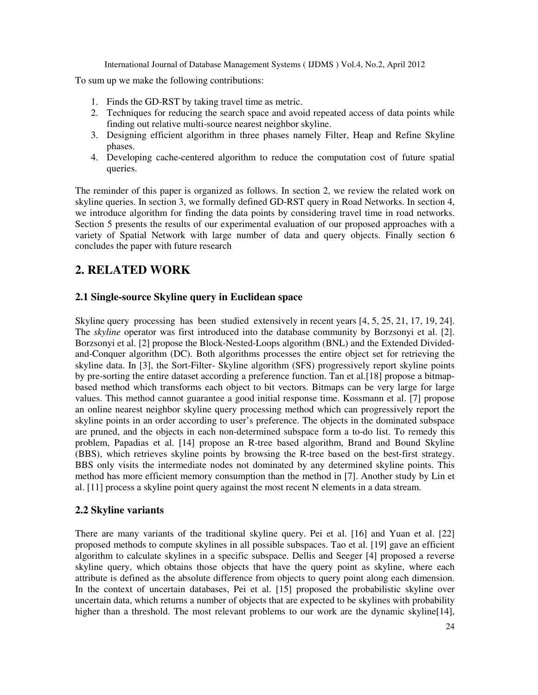To sum up we make the following contributions:

- 1. Finds the GD-RST by taking travel time as metric.
- 2. Techniques for reducing the search space and avoid repeated access of data points while finding out relative multi-source nearest neighbor skyline.
- 3. Designing efficient algorithm in three phases namely Filter, Heap and Refine Skyline phases.
- 4. Developing cache-centered algorithm to reduce the computation cost of future spatial queries.

The reminder of this paper is organized as follows. In section 2, we review the related work on skyline queries. In section 3, we formally defined GD-RST query in Road Networks. In section 4, we introduce algorithm for finding the data points by considering travel time in road networks. Section 5 presents the results of our experimental evaluation of our proposed approaches with a variety of Spatial Network with large number of data and query objects. Finally section 6 concludes the paper with future research

# **2. RELATED WORK**

# **2.1 Single-source Skyline query in Euclidean space**

Skyline query processing has been studied extensively in recent years [4, 5, 25, 21, 17, 19, 24]. The *skyline* operator was first introduced into the database community by Borzsonyi et al. [2]. Borzsonyi et al. [2] propose the Block-Nested-Loops algorithm (BNL) and the Extended Dividedand-Conquer algorithm (DC). Both algorithms processes the entire object set for retrieving the skyline data. In [3], the Sort-Filter- Skyline algorithm (SFS) progressively report skyline points by pre-sorting the entire dataset according a preference function. Tan et al.[18] propose a bitmapbased method which transforms each object to bit vectors. Bitmaps can be very large for large values. This method cannot guarantee a good initial response time. Kossmann et al. [7] propose an online nearest neighbor skyline query processing method which can progressively report the skyline points in an order according to user's preference. The objects in the dominated subspace are pruned, and the objects in each non-determined subspace form a to-do list. To remedy this problem, Papadias et al. [14] propose an R-tree based algorithm, Brand and Bound Skyline (BBS), which retrieves skyline points by browsing the R-tree based on the best-first strategy. BBS only visits the intermediate nodes not dominated by any determined skyline points. This method has more efficient memory consumption than the method in [7]. Another study by Lin et al. [11] process a skyline point query against the most recent N elements in a data stream.

# **2.2 Skyline variants**

There are many variants of the traditional skyline query. Pei et al. [16] and Yuan et al. [22] proposed methods to compute skylines in all possible subspaces. Tao et al. [19] gave an efficient algorithm to calculate skylines in a specific subspace. Dellis and Seeger [4] proposed a reverse skyline query, which obtains those objects that have the query point as skyline, where each attribute is defined as the absolute difference from objects to query point along each dimension. In the context of uncertain databases, Pei et al. [15] proposed the probabilistic skyline over uncertain data, which returns a number of objects that are expected to be skylines with probability higher than a threshold. The most relevant problems to our work are the dynamic skyline [14],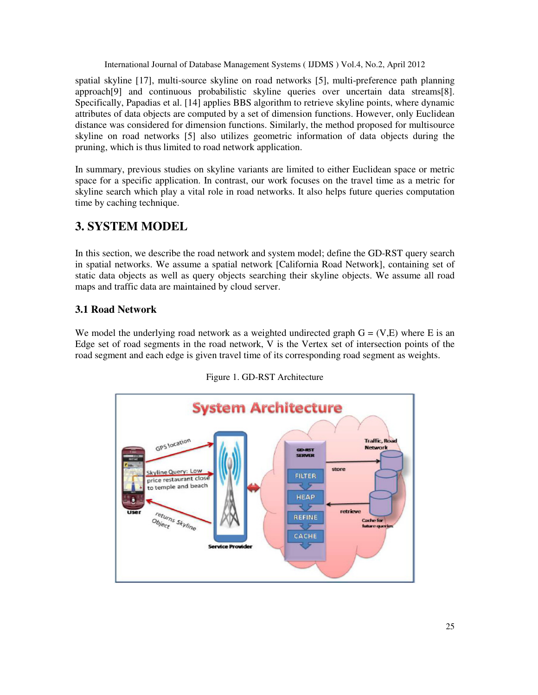spatial skyline [17], multi-source skyline on road networks [5], multi-preference path planning approach[9] and continuous probabilistic skyline queries over uncertain data streams[8]. Specifically, Papadias et al. [14] applies BBS algorithm to retrieve skyline points, where dynamic attributes of data objects are computed by a set of dimension functions. However, only Euclidean distance was considered for dimension functions. Similarly, the method proposed for multisource skyline on road networks [5] also utilizes geometric information of data objects during the pruning, which is thus limited to road network application.

In summary, previous studies on skyline variants are limited to either Euclidean space or metric space for a specific application. In contrast, our work focuses on the travel time as a metric for skyline search which play a vital role in road networks. It also helps future queries computation time by caching technique.

# **3. SYSTEM MODEL**

In this section, we describe the road network and system model; define the GD-RST query search in spatial networks. We assume a spatial network [California Road Network], containing set of static data objects as well as query objects searching their skyline objects. We assume all road maps and traffic data are maintained by cloud server.

# **3.1 Road Network**

We model the underlying road network as a weighted undirected graph  $G = (V,E)$  where E is an Edge set of road segments in the road network, V is the Vertex set of intersection points of the road segment and each edge is given travel time of its corresponding road segment as weights.



Figure 1. GD-RST Architecture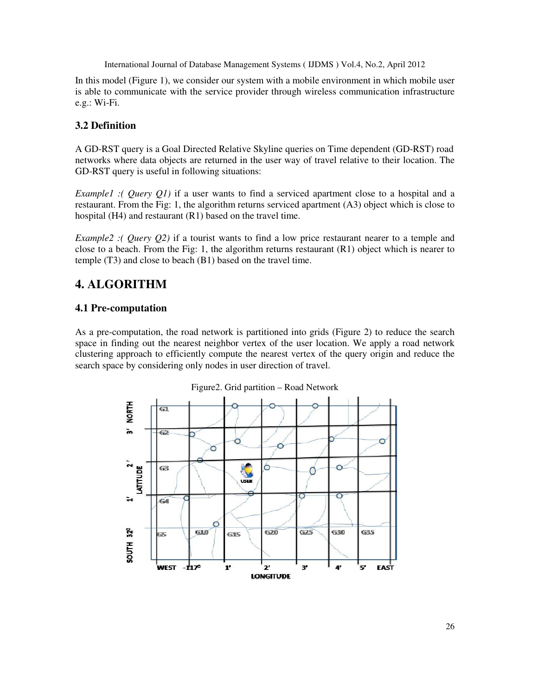In this model (Figure 1), we consider our system with a mobile environment in which mobile user is able to communicate with the service provider through wireless communication infrastructure e.g.: Wi-Fi.

# **3.2 Definition**

A GD-RST query is a Goal Directed Relative Skyline queries on Time dependent (GD-RST) road networks where data objects are returned in the user way of travel relative to their location. The GD-RST query is useful in following situations:

*Example1 : ( Query O1)* if a user wants to find a serviced apartment close to a hospital and a restaurant. From the Fig: 1, the algorithm returns serviced apartment (A3) object which is close to hospital (H4) and restaurant (R1) based on the travel time.

*Example2 :( Query Q2)* if a tourist wants to find a low price restaurant nearer to a temple and close to a beach. From the Fig: 1, the algorithm returns restaurant (R1) object which is nearer to temple (T3) and close to beach (B1) based on the travel time.

# **4. ALGORITHM**

### **4.1 Pre-computation**

As a pre-computation, the road network is partitioned into grids (Figure 2) to reduce the search space in finding out the nearest neighbor vertex of the user location. We apply a road network clustering approach to efficiently compute the nearest vertex of the query origin and reduce the search space by considering only nodes in user direction of travel.



Figure2. Grid partition – Road Network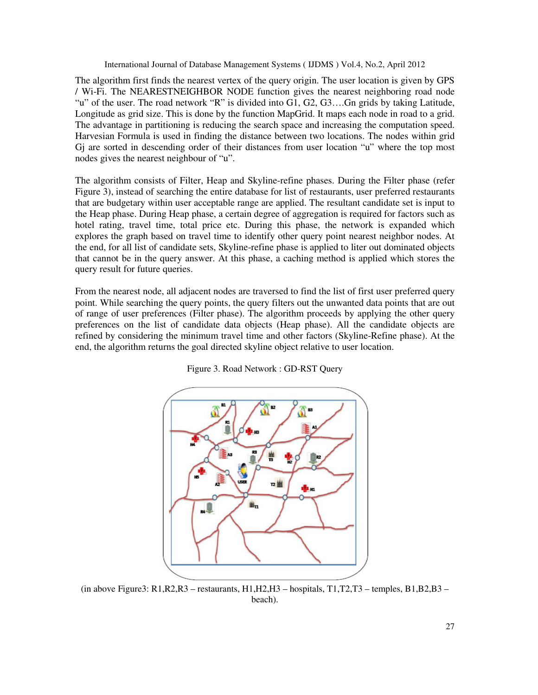The algorithm first finds the nearest vertex of the query origin. The user location is given by GPS / Wi-Fi. The NEARESTNEIGHBOR NODE function gives the nearest neighboring road node "u" of the user. The road network "R" is divided into G1, G2, G3….Gn grids by taking Latitude, Longitude as grid size. This is done by the function MapGrid. It maps each node in road to a grid. The advantage in partitioning is reducing the search space and increasing the computation speed. Harvesian Formula is used in finding the distance between two locations. The nodes within grid Gj are sorted in descending order of their distances from user location "u" where the top most nodes gives the nearest neighbour of "u".

The algorithm consists of Filter, Heap and Skyline-refine phases. During the Filter phase (refer Figure 3), instead of searching the entire database for list of restaurants, user preferred restaurants that are budgetary within user acceptable range are applied. The resultant candidate set is input to the Heap phase. During Heap phase, a certain degree of aggregation is required for factors such as hotel rating, travel time, total price etc. During this phase, the network is expanded which explores the graph based on travel time to identify other query point nearest neighbor nodes. At the end, for all list of candidate sets, Skyline-refine phase is applied to liter out dominated objects that cannot be in the query answer. At this phase, a caching method is applied which stores the query result for future queries.

From the nearest node, all adjacent nodes are traversed to find the list of first user preferred query point. While searching the query points, the query filters out the unwanted data points that are out of range of user preferences (Filter phase). The algorithm proceeds by applying the other query preferences on the list of candidate data objects (Heap phase). All the candidate objects are refined by considering the minimum travel time and other factors (Skyline-Refine phase). At the end, the algorithm returns the goal directed skyline object relative to user location.



Figure 3. Road Network : GD-RST Query

(in above Figure3:  $R1, R2, R3$  – restaurants,  $H1, H2, H3$  – hospitals,  $T1, T2, T3$  – temples,  $B1, B2, B3$  – beach).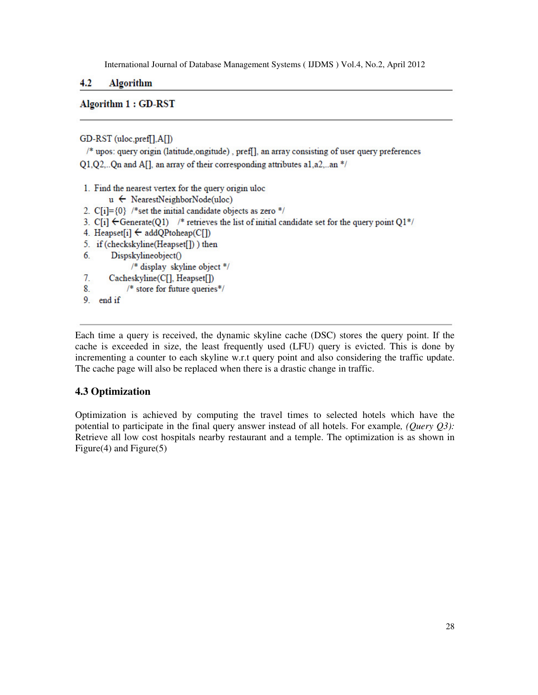#### $4.2$ Algorithm

### **Algorithm 1: GD-RST**

GD-RST (uloc,pref[],A[])

/\* upos: query origin (latitude, ongitude), pref[], an array consisting of user query preferences Q1,Q2,..Qn and A[], an array of their corresponding attributes a1,a2,..an \*/

```
1. Find the nearest vertex for the query origin uloc
```

```
u \leftarrow NearestNeighborNode(uloc)
```

```
2. C[i] = \{0\} /*set the initial candidate objects as zero */
```

```
3. C[i] \leftarrow Generate(Q1) /* retrieves the list of initial candidate set for the query point Q1*/
```
- 4. Heapset[i]  $\leftarrow$  addQPtoheap(C[])
- 5. if (checkskyline(Heapset[])) then
- Dispskylineobject() 6.

/\* display skyline object \*/

- $7.$ Cacheskyline(C[], Heapset[])
- $8.$  $/*$  store for future queries\*/
- 9. end if

Each time a query is received, the dynamic skyline cache (DSC) stores the query point. If the cache is exceeded in size, the least frequently used (LFU) query is evicted. This is done by incrementing a counter to each skyline w.r.t query point and also considering the traffic update. The cache page will also be replaced when there is a drastic change in traffic.

### **4.3 Optimization**

Optimization is achieved by computing the travel times to selected hotels which have the potential to participate in the final query answer instead of all hotels. For example*, (Query Q3):*  Retrieve all low cost hospitals nearby restaurant and a temple. The optimization is as shown in Figure(4) and Figure(5)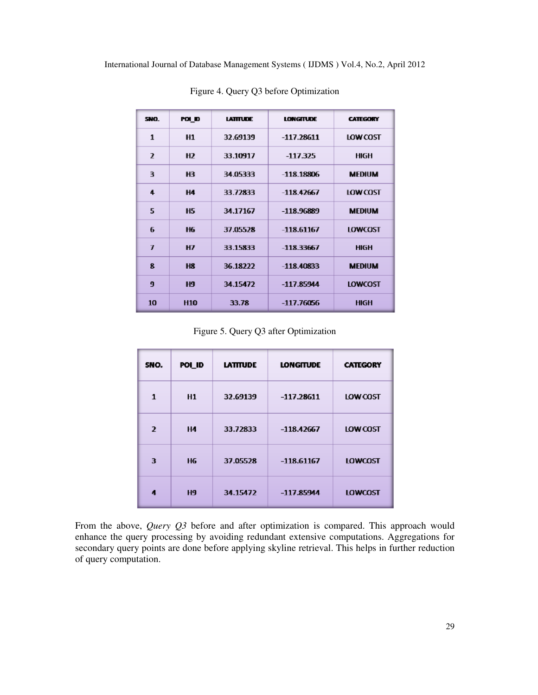| SNO.           | POI ID         | <b>LATITUDE</b> | <b>LONGITUDE</b> | <b>CATEGORY</b> |
|----------------|----------------|-----------------|------------------|-----------------|
| 1              | H1             | 32.69139        | $-117.28611$     | LOW COST        |
| $\overline{ }$ | H <sub>2</sub> | 33.10917        | -117.325         | <b>HIGH</b>     |
| 3              | н3             | 34 05333        | $-118.18806$     | <b>MEDIUM</b>   |
| 4              | <b>H4</b>      | 33 72833        | $-118.42667$     | LOW COST        |
| 5              | <b>H5</b>      | 34.17167        | -118.96889       | <b>MEDIUM</b>   |
| 6              | <b>H6</b>      | 37.05528        | $-118.61167$     | LOWCOST         |
| $\overline{I}$ | HZ             | 33.15833        | $-118.33667$     | <b>HIGH</b>     |
| 8              | <b>H8</b>      | 36.18222        | $-118.40833$     | <b>MEDIUM</b>   |
| 9              | <b>H9</b>      | 34.15472        | $-117.85944$     | <b>LOWCOST</b>  |
| 10             | <b>H10</b>     | 33.78           | -117.76056       | <b>HIGH</b>     |

Figure 4. Query Q3 before Optimization

Figure 5. Query Q3 after Optimization

| SNO.           | POL ID    | <b>LATITUDE</b> | <b>LONGITUDE</b> | <b>CATEGORY</b> |
|----------------|-----------|-----------------|------------------|-----------------|
| 1              | H1        | 32.69139        | $-117.28611$     | LOW COST        |
| $\overline{2}$ | <b>H4</b> | 33.72833        | $-118.42667$     | LOW COST        |
| 3              | Н6        | 37.05528        | $-118.61167$     | <b>LOWCOST</b>  |
| 4              | <b>H9</b> | 34.15472        | $-117.85944$     | <b>LOWCOST</b>  |

From the above, *Query Q3* before and after optimization is compared. This approach would enhance the query processing by avoiding redundant extensive computations. Aggregations for secondary query points are done before applying skyline retrieval. This helps in further reduction of query computation.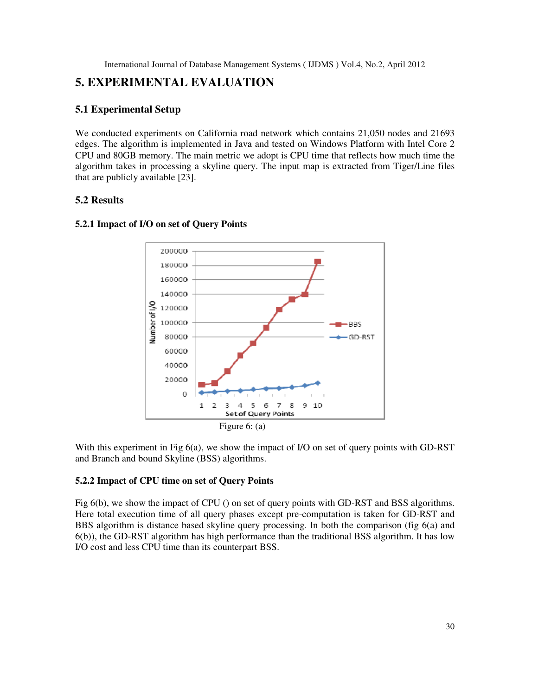# **5. EXPERIMENTAL EVALUATION**

### **5.1 Experimental Setup**

We conducted experiments on California road network which contains 21,050 nodes and 21693 edges. The algorithm is implemented in Java and tested on Windows Platform with Intel Core 2 CPU and 80GB memory. The main metric we adopt is CPU time that reflects how much time the algorithm takes in processing a skyline query. The input map is extracted from Tiger/Line files that are publicly available [23].

### **5.2 Results**



### **5.2.1 Impact of I/O on set of Query Points**

With this experiment in Fig 6(a), we show the impact of I/O on set of query points with GD-RST and Branch and bound Skyline (BSS) algorithms.

### **5.2.2 Impact of CPU time on set of Query Points**

Fig 6(b), we show the impact of CPU () on set of query points with GD-RST and BSS algorithms. Here total execution time of all query phases except pre-computation is taken for GD-RST and BBS algorithm is distance based skyline query processing. In both the comparison (fig 6(a) and 6(b)), the GD-RST algorithm has high performance than the traditional BSS algorithm. It has low I/O cost and less CPU time than its counterpart BSS.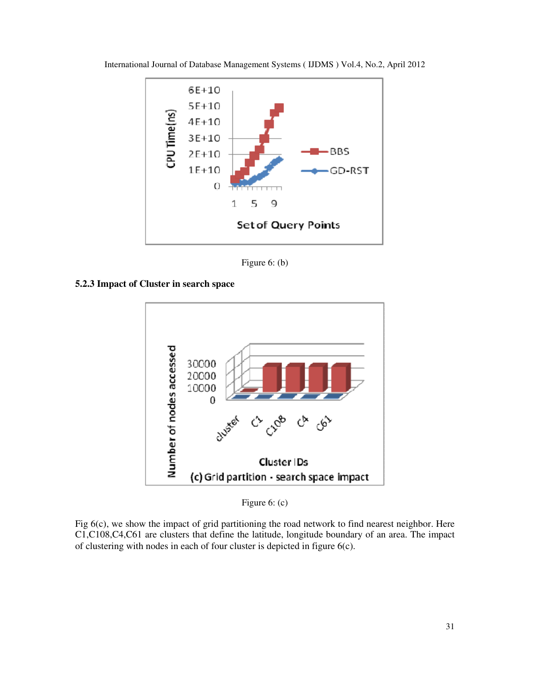

International Journal of Database Management Systems ( IJDMS ) Vol.4, No.2, April 2012

Figure 6: (b)





Figure 6: (c)

Fig 6(c), we show the impact of grid partitioning the road network to find nearest neighbor. Here C1,C108,C4,C61 are clusters that define the latitude, longitude boundary of an area. The impact of clustering with nodes in each of four cluster is depicted in figure 6(c).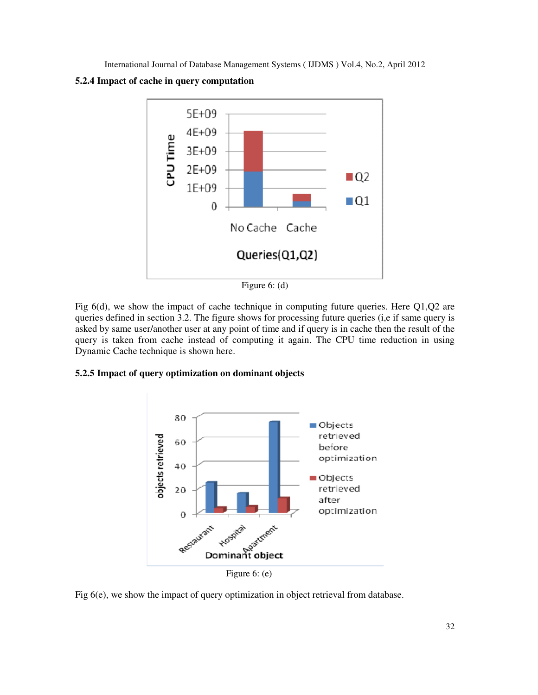



Figure 6: (d)

Fig 6(d), we show the impact of cache technique in computing future queries. Here Q1,Q2 are queries defined in section 3.2. The figure shows for processing future queries (i,e if same query is asked by same user/another user at any point of time and if query is in cache then the result of the query is taken from cache instead of computing it again. The CPU time reduction in using Dynamic Cache technique is shown here.

### **5.2.5 Impact of query optimization on dominant objects**



Fig 6(e), we show the impact of query optimization in object retrieval from database.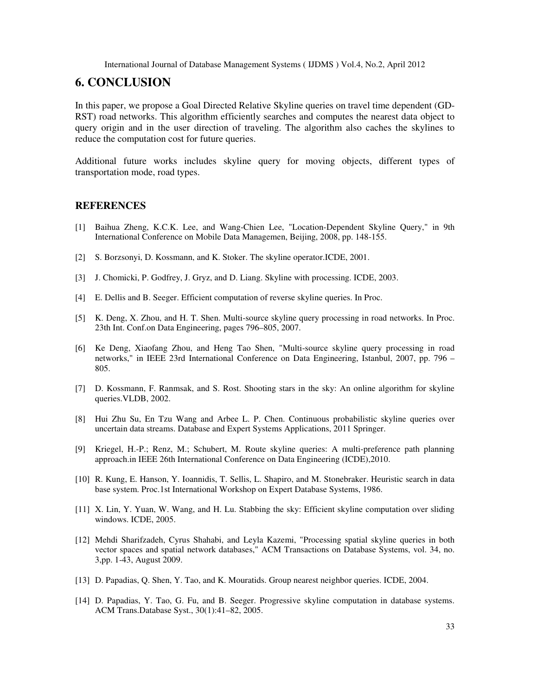# **6. CONCLUSION**

In this paper, we propose a Goal Directed Relative Skyline queries on travel time dependent (GD-RST) road networks. This algorithm efficiently searches and computes the nearest data object to query origin and in the user direction of traveling. The algorithm also caches the skylines to reduce the computation cost for future queries.

Additional future works includes skyline query for moving objects, different types of transportation mode, road types.

### **REFERENCES**

- [1] Baihua Zheng, K.C.K. Lee, and Wang-Chien Lee, "Location-Dependent Skyline Query," in 9th International Conference on Mobile Data Managemen, Beijing, 2008, pp. 148-155.
- [2] S. Borzsonyi, D. Kossmann, and K. Stoker. The skyline operator.ICDE, 2001.
- [3] J. Chomicki, P. Godfrey, J. Gryz, and D. Liang. Skyline with processing. ICDE, 2003.
- [4] E. Dellis and B. Seeger. Efficient computation of reverse skyline queries. In Proc.
- [5] K. Deng, X. Zhou, and H. T. Shen. Multi-source skyline query processing in road networks. In Proc. 23th Int. Conf.on Data Engineering, pages 796–805, 2007.
- [6] Ke Deng, Xiaofang Zhou, and Heng Tao Shen, "Multi-source skyline query processing in road networks," in IEEE 23rd International Conference on Data Engineering, Istanbul, 2007, pp. 796 – 805.
- [7] D. Kossmann, F. Ranmsak, and S. Rost. Shooting stars in the sky: An online algorithm for skyline queries.VLDB, 2002.
- [8] Hui Zhu Su, En Tzu Wang and Arbee L. P. Chen. Continuous probabilistic skyline queries over uncertain data streams. Database and Expert Systems Applications, 2011 Springer.
- [9] Kriegel, H.-P.; Renz, M.; Schubert, M. Route skyline queries: A multi-preference path planning approach.in IEEE 26th International Conference on Data Engineering (ICDE),2010.
- [10] R. Kung, E. Hanson, Y. Ioannidis, T. Sellis, L. Shapiro, and M. Stonebraker. Heuristic search in data base system. Proc.1st International Workshop on Expert Database Systems, 1986.
- [11] X. Lin, Y. Yuan, W. Wang, and H. Lu. Stabbing the sky: Efficient skyline computation over sliding windows. ICDE, 2005.
- [12] Mehdi Sharifzadeh, Cyrus Shahabi, and Leyla Kazemi, "Processing spatial skyline queries in both vector spaces and spatial network databases," ACM Transactions on Database Systems, vol. 34, no. 3,pp. 1-43, August 2009.
- [13] D. Papadias, Q. Shen, Y. Tao, and K. Mouratids. Group nearest neighbor queries. ICDE, 2004.
- [14] D. Papadias, Y. Tao, G. Fu, and B. Seeger. Progressive skyline computation in database systems. ACM Trans.Database Syst., 30(1):41–82, 2005.